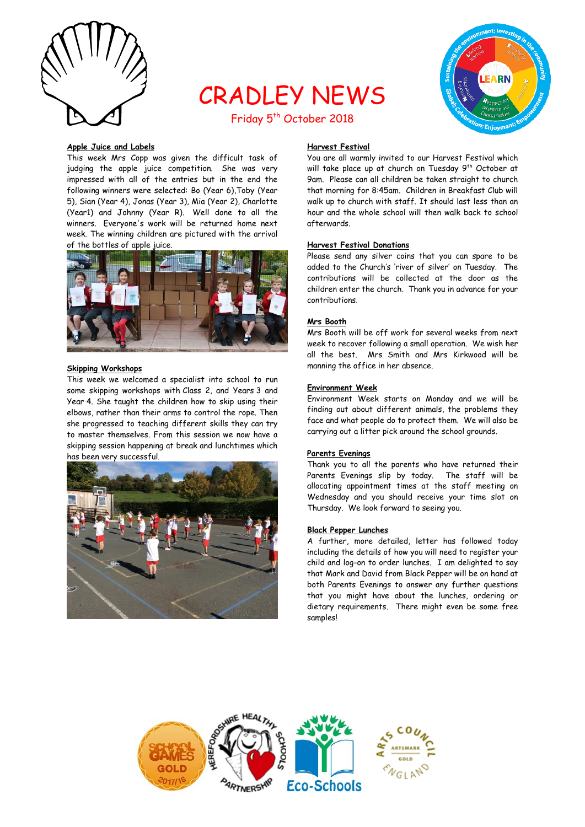

# CRADLEY NEWS Friday 5<sup>th</sup> October 2018



# **Apple Juice and Labels**

This week Mrs Copp was given the difficult task of judging the apple juice competition. She was very impressed with all of the entries but in the end the following winners were selected: Bo (Year 6),Toby (Year 5), Sian (Year 4), Jonas (Year 3), Mia (Year 2), Charlotte (Year1) and Johnny (Year R). Well done to all the winners. Everyone's work will be returned home next week. The winning children are pictured with the arrival of the bottles of apple juice.



## **Skipping Workshops**

This week we welcomed a specialist into school to run some skipping workshops with Class 2, and Years 3 and Year 4. She taught the children how to skip using their elbows, rather than their arms to control the rope. Then she progressed to teaching different skills they can try to master themselves. From this session we now have a skipping session happening at break and lunchtimes which has been very successful.



# **Harvest Festival**

You are all warmly invited to our Harvest Festival which will take place up at church on Tuesday 9<sup>th</sup> October at 9am. Please can all children be taken straight to church that morning for 8:45am. Children in Breakfast Club will walk up to church with staff. It should last less than an hour and the whole school will then walk back to school afterwards.

# **Harvest Festival Donations**

Please send any silver coins that you can spare to be added to the Church's 'river of silver' on Tuesday. The contributions will be collected at the door as the children enter the church. Thank you in advance for your contributions.

## **Mrs Booth**

Mrs Booth will be off work for several weeks from next week to recover following a small operation. We wish her all the best. Mrs Smith and Mrs Kirkwood will be manning the office in her absence.

## **Environment Week**

Environment Week starts on Monday and we will be finding out about different animals, the problems they face and what people do to protect them. We will also be carrying out a litter pick around the school grounds.

#### **Parents Evenings**

Thank you to all the parents who have returned their Parents Evenings slip by today. The staff will be allocating appointment times at the staff meeting on Wednesday and you should receive your time slot on Thursday. We look forward to seeing you.

#### **Black Pepper Lunches**

A further, more detailed, letter has followed today including the details of how you will need to register your child and log-on to order lunches. I am delighted to say that Mark and David from Black Pepper will be on hand at both Parents Evenings to answer any further questions that you might have about the lunches, ordering or dietary requirements. There might even be some free samples!

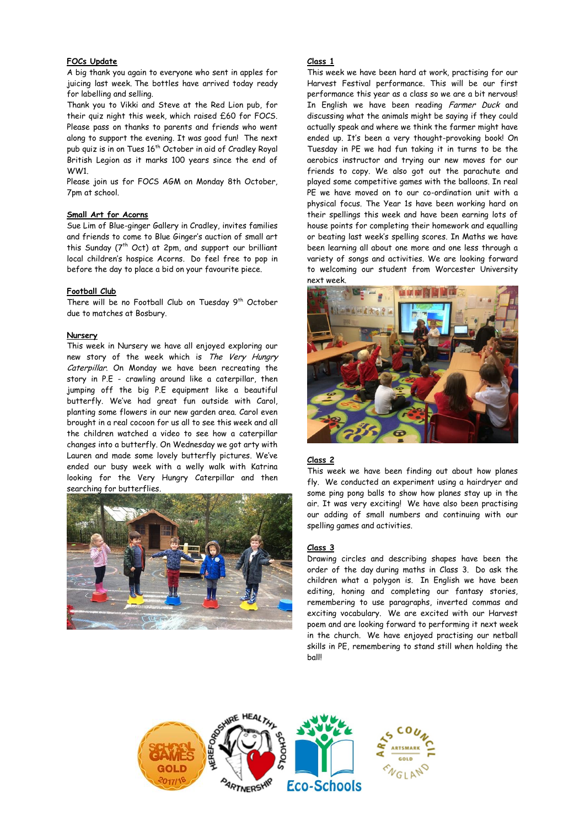# **FOCs Update**

A big thank you again to everyone who sent in apples for juicing last week. The bottles have arrived today ready for labelling and selling.

Thank you to Vikki and Steve at the Red Lion pub, for their quiz night this week, which raised £60 for FOCS. Please pass on thanks to parents and friends who went along to support the evening. It was good fun! The next pub quiz is in on Tues 16<sup>th</sup> October in aid of Cradley Royal British Legion as it marks 100 years since the end of WW1.

Please join us for FOCS AGM on Monday 8th October, 7pm at school.

## **Small Art for Acorns**

Sue Lim of Blue-ginger Gallery in Cradley, invites families and friends to come to Blue Ginger's auction of small art this Sunday (7<sup>th</sup> Oct) at 2pm, and support our brilliant local children's hospice Acorns. Do feel free to pop in before the day to place a bid on your favourite piece.

## **Football Club**

There will be no Football Club on Tuesday 9<sup>th</sup> October due to matches at Bosbury.

#### **Nursery**

This week in Nursery we have all enjoyed exploring our new story of the week which is The Very Hungry Caterpillar. On Monday we have been recreating the story in P.E - crawling around like a caterpillar, then jumping off the big P.E equipment like a beautiful butterfly. We've had great fun outside with Carol, planting some flowers in our new garden area. Carol even brought in a real cocoon for us all to see this week and all the children watched a video to see how a caterpillar changes into a butterfly. On Wednesday we got arty with Lauren and made some lovely butterfly pictures. We've ended our busy week with a welly walk with Katrina looking for the Very Hungry Caterpillar and then searching for butterflies.



# **Class 1**

This week we have been hard at work, practising for our Harvest Festival performance. This will be our first performance this year as a class so we are a bit nervous! In English we have been reading Farmer Duck and discussing what the animals might be saying if they could actually speak and where we think the farmer might have ended up. It's been a very thought-provoking book! On Tuesday in PE we had fun taking it in turns to be the aerobics instructor and trying our new moves for our friends to copy. We also got out the parachute and played some competitive games with the balloons. In real PE we have moved on to our co-ordination unit with a physical focus. The Year 1s have been working hard on their spellings this week and have been earning lots of house points for completing their homework and equalling or beating last week's spelling scores. In Maths we have been learning all about one more and one less through a variety of songs and activities. We are looking forward to welcoming our student from Worcester University next week.



# **Class 2**

This week we have been finding out about how planes fly. We conducted an experiment using a hairdryer and some ping pong balls to show how planes stay up in the air. It was very exciting! We have also been practising our adding of small numbers and continuing with our spelling games and activities.

#### **Class 3**

Drawing circles and describing shapes have been the order of the day during maths in Class 3. Do ask the children what a polygon is. In English we have been editing, honing and completing our fantasy stories, remembering to use paragraphs, inverted commas and exciting vocabulary. We are excited with our Harvest poem and are looking forward to performing it next week in the church. We have enjoyed practising our netball skills in PE, remembering to stand still when holding the ball!